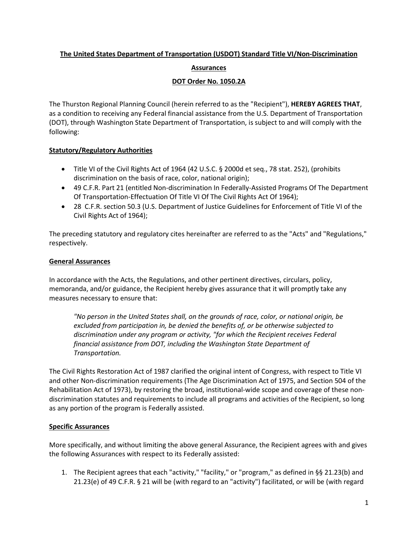# **The United States Department of Transportation (USDOT) Standard Title VI/Non-Discrimination**

## **Assurances**

## **DOT Order No. 1050.2A**

The Thurston Regional Planning Council (herein referred to as the "Recipient"), **HEREBY AGREES THAT**, as a condition to receiving any Federal financial assistance from the U.S. Department of Transportation (DOT), through Washington State Department of Transportation, is subject to and will comply with the following:

# **Statutory/Regulatory Authorities**

- Title VI of the Civil Rights Act of 1964 (42 U.S.C. § 2000d et seq., 78 stat. 252), (prohibits discrimination on the basis of race, color, national origin);
- 49 C.F.R. Part 21 (entitled Non-discrimination In Federally-Assisted Programs Of The Department Of Transportation-Effectuation Of Title VI Of The Civil Rights Act Of 1964);
- 28 C.F.R. section 50.3 (U.S. Department of Justice Guidelines for Enforcement of Title VI of the Civil Rights Act of 1964);

The preceding statutory and regulatory cites hereinafter are referred to as the "Acts" and "Regulations," respectively.

## **General Assurances**

In accordance with the Acts, the Regulations, and other pertinent directives, circulars, policy, memoranda, and/or guidance, the Recipient hereby gives assurance that it will promptly take any measures necessary to ensure that:

*"No person in the United States shall, on the grounds of race, color, or national origin, be excluded from participation in, be denied the benefits of, or be otherwise subjected to discrimination under any program or activity, "for which the Recipient receives Federal financial assistance from DOT, including the Washington State Department of Transportation.*

The Civil Rights Restoration Act of 1987 clarified the original intent of Congress, with respect to Title VI and other Non-discrimination requirements (The Age Discrimination Act of 1975, and Section 504 of the Rehabilitation Act of 1973), by restoring the broad, institutional-wide scope and coverage of these nondiscrimination statutes and requirements to include all programs and activities of the Recipient, so long as any portion of the program is Federally assisted.

# **Specific Assurances**

More specifically, and without limiting the above general Assurance, the Recipient agrees with and gives the following Assurances with respect to its Federally assisted:

1. The Recipient agrees that each "activity," "facility," or "program," as defined in §§ 21.23(b) and 21.23(e) of 49 C.F.R. § 21 will be (with regard to an "activity") facilitated, or will be (with regard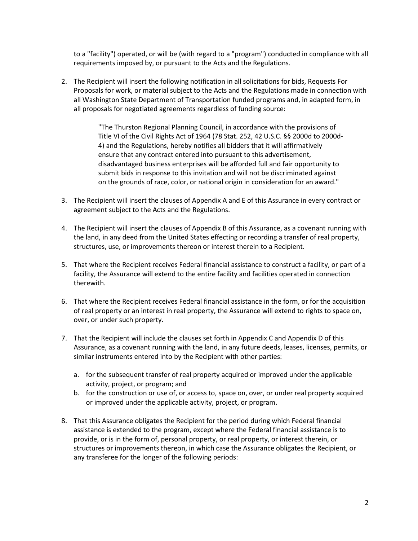to a "facility") operated, or will be (with regard to a "program") conducted in compliance with all requirements imposed by, or pursuant to the Acts and the Regulations.

2. The Recipient will insert the following notification in all solicitations for bids, Requests For Proposals for work, or material subject to the Acts and the Regulations made in connection with all Washington State Department of Transportation funded programs and, in adapted form, in all proposals for negotiated agreements regardless of funding source:

> "The Thurston Regional Planning Council, in accordance with the provisions of Title VI of the Civil Rights Act of 1964 (78 Stat. 252, 42 U.S.C. §§ 2000d to 2000d-4) and the Regulations, hereby notifies all bidders that it will affirmatively ensure that any contract entered into pursuant to this advertisement, disadvantaged business enterprises will be afforded full and fair opportunity to submit bids in response to this invitation and will not be discriminated against on the grounds of race, color, or national origin in consideration for an award."

- 3. The Recipient will insert the clauses of Appendix A and E of this Assurance in every contract or agreement subject to the Acts and the Regulations.
- 4. The Recipient will insert the clauses of Appendix B of this Assurance, as a covenant running with the land, in any deed from the United States effecting or recording a transfer of real property, structures, use, or improvements thereon or interest therein to a Recipient.
- 5. That where the Recipient receives Federal financial assistance to construct a facility, or part of a facility, the Assurance will extend to the entire facility and facilities operated in connection therewith.
- 6. That where the Recipient receives Federal financial assistance in the form, or for the acquisition of real property or an interest in real property, the Assurance will extend to rights to space on, over, or under such property.
- 7. That the Recipient will include the clauses set forth in Appendix C and Appendix D of this Assurance, as a covenant running with the land, in any future deeds, leases, licenses, permits, or similar instruments entered into by the Recipient with other parties:
	- a. for the subsequent transfer of real property acquired or improved under the applicable activity, project, or program; and
	- b. for the construction or use of, or access to, space on, over, or under real property acquired or improved under the applicable activity, project, or program.
- 8. That this Assurance obligates the Recipient for the period during which Federal financial assistance is extended to the program, except where the Federal financial assistance is to provide, or is in the form of, personal property, or real property, or interest therein, or structures or improvements thereon, in which case the Assurance obligates the Recipient, or any transferee for the longer of the following periods: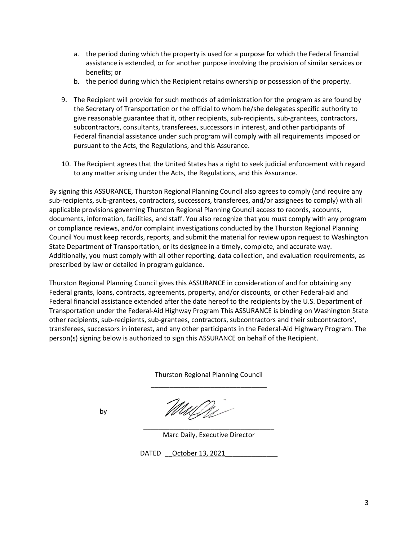- a. the period during which the property is used for a purpose for which the Federal financial assistance is extended, or for another purpose involving the provision of similar services or benefits; or
- b. the period during which the Recipient retains ownership or possession of the property.
- 9. The Recipient will provide for such methods of administration for the program as are found by the Secretary of Transportation or the official to whom he/she delegates specific authority to give reasonable guarantee that it, other recipients, sub-recipients, sub-grantees, contractors, subcontractors, consultants, transferees, successors in interest, and other participants of Federal financial assistance under such program will comply with all requirements imposed or pursuant to the Acts, the Regulations, and this Assurance.
- 10. The Recipient agrees that the United States has a right to seek judicial enforcement with regard to any matter arising under the Acts, the Regulations, and this Assurance.

By signing this ASSURANCE, Thurston Regional Planning Council also agrees to comply (and require any sub-recipients, sub-grantees, contractors, successors, transferees, and/or assignees to comply) with all applicable provisions governing Thurston Regional Planning Council access to records, accounts, documents, information, facilities, and staff. You also recognize that you must comply with any program or compliance reviews, and/or complaint investigations conducted by the Thurston Regional Planning Council You must keep records, reports, and submit the material for review upon request to Washington State Department of Transportation, or its designee in a timely, complete, and accurate way. Additionally, you must comply with all other reporting, data collection, and evaluation requirements, as prescribed by law or detailed in program guidance.

Thurston Regional Planning Council gives this ASSURANCE in consideration of and for obtaining any Federal grants, loans, contracts, agreements, property, and/or discounts, or other Federal-aid and Federal financial assistance extended after the date hereof to the recipients by the U.S. Department of Transportation under the Federal-Aid Highway Program This ASSURANCE is binding on Washington State other recipients, sub-recipients, sub-grantees, contractors, subcontractors and their subcontractors', transferees, successors in interest, and any other participants in the Federal-Aid Highwary Program. The person(s) signing below is authorized to sign this ASSURANCE on behalf of the Recipient.

> Thurston Regional Planning Council \_\_\_\_\_\_\_\_\_\_\_\_\_\_\_\_\_\_\_\_\_\_\_\_\_\_\_\_\_\_\_

by

\_\_\_\_\_\_\_\_\_\_\_\_\_\_\_\_\_\_\_\_\_\_\_\_\_\_\_\_\_\_\_\_\_\_\_ Marc Daily, Executive Director

DATED \_\_\_ October 13, 2021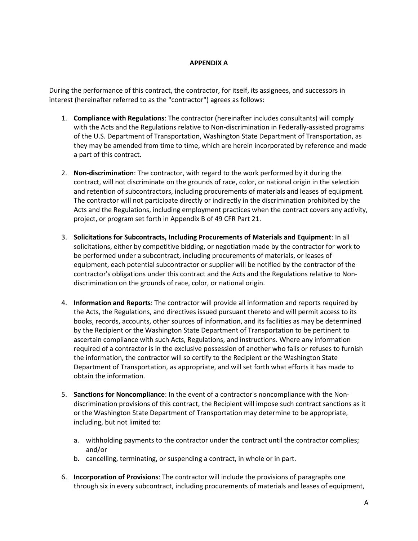## **APPENDIX A**

During the performance of this contract, the contractor, for itself, its assignees, and successors in interest (hereinafter referred to as the "contractor") agrees as follows:

- 1. **Compliance with Regulations**: The contractor (hereinafter includes consultants) will comply with the Acts and the Regulations relative to Non-discrimination in Federally-assisted programs of the U.S. Department of Transportation, Washington State Department of Transportation, as they may be amended from time to time, which are herein incorporated by reference and made a part of this contract.
- 2. **Non-discrimination**: The contractor, with regard to the work performed by it during the contract, will not discriminate on the grounds of race, color, or national origin in the selection and retention of subcontractors, including procurements of materials and leases of equipment. The contractor will not participate directly or indirectly in the discrimination prohibited by the Acts and the Regulations, including employment practices when the contract covers any activity, project, or program set forth in Appendix B of 49 CFR Part 21.
- 3. **Solicitations for Subcontracts, Including Procurements of Materials and Equipment**: In all solicitations, either by competitive bidding, or negotiation made by the contractor for work to be performed under a subcontract, including procurements of materials, or leases of equipment, each potential subcontractor or supplier will be notified by the contractor of the contractor's obligations under this contract and the Acts and the Regulations relative to Nondiscrimination on the grounds of race, color, or national origin.
- 4. **Information and Reports**: The contractor will provide all information and reports required by the Acts, the Regulations, and directives issued pursuant thereto and will permit access to its books, records, accounts, other sources of information, and its facilities as may be determined by the Recipient or the Washington State Department of Transportation to be pertinent to ascertain compliance with such Acts, Regulations, and instructions. Where any information required of a contractor is in the exclusive possession of another who fails or refuses to furnish the information, the contractor will so certify to the Recipient or the Washington State Department of Transportation, as appropriate, and will set forth what efforts it has made to obtain the information.
- 5. **Sanctions for Noncompliance**: In the event of a contractor's noncompliance with the Nondiscrimination provisions of this contract, the Recipient will impose such contract sanctions as it or the Washington State Department of Transportation may determine to be appropriate, including, but not limited to:
	- a. withholding payments to the contractor under the contract until the contractor complies; and/or
	- b. cancelling, terminating, or suspending a contract, in whole or in part.
- 6. **Incorporation of Provisions**: The contractor will include the provisions of paragraphs one through six in every subcontract, including procurements of materials and leases of equipment,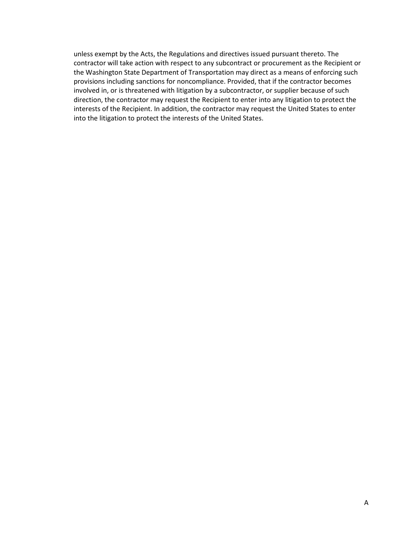unless exempt by the Acts, the Regulations and directives issued pursuant thereto. The contractor will take action with respect to any subcontract or procurement as the Recipient or the Washington State Department of Transportation may direct as a means of enforcing such provisions including sanctions for noncompliance. Provided, that if the contractor becomes involved in, or is threatened with litigation by a subcontractor, or supplier because of such direction, the contractor may request the Recipient to enter into any litigation to protect the interests of the Recipient. In addition, the contractor may request the United States to enter into the litigation to protect the interests of the United States.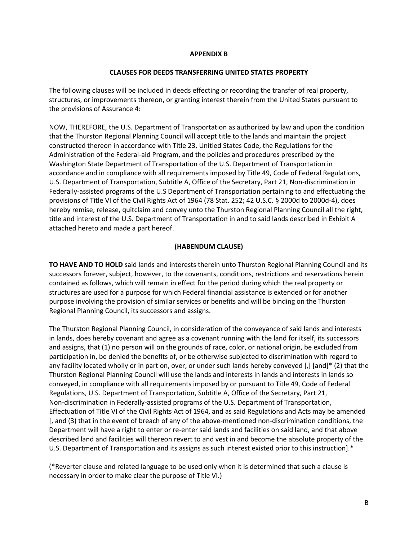### **APPENDIX B**

#### **CLAUSES FOR DEEDS TRANSFERRING UNITED STATES PROPERTY**

The following clauses will be included in deeds effecting or recording the transfer of real property, structures, or improvements thereon, or granting interest therein from the United States pursuant to the provisions of Assurance 4:

NOW, THEREFORE, the U.S. Department of Transportation as authorized by law and upon the condition that the Thurston Regional Planning Council will accept title to the lands and maintain the project constructed thereon in accordance with Title 23, Unitied States Code, the Regulations for the Administration of the Federal-aid Program, and the policies and procedures prescribed by the Washington State Department of Transportation of the U.S. Department of Transportation in accordance and in compliance with all requirements imposed by Title 49, Code of Federal Regulations, U.S. Department of Transportation, Subtitle A, Office of the Secretary, Part 21, Non-discrimination in Federally-assisted programs of the U.S Department of Transportation pertaining to and effectuating the provisions of Title VI of the Civil Rights Act of 1964 (78 Stat. 252; 42 U.S.C. § 2000d to 2000d-4), does hereby remise, release, quitclaim and convey unto the Thurston Regional Planning Council all the right, title and interest of the U.S. Department of Transportation in and to said lands described in Exhibit A attached hereto and made a part hereof.

### **(HABENDUM CLAUSE)**

**TO HAVE AND TO HOLD** said lands and interests therein unto Thurston Regional Planning Council and its successors forever, subject, however, to the covenants, conditions, restrictions and reservations herein contained as follows, which will remain in effect for the period during which the real property or structures are used for a purpose for which Federal financial assistance is extended or for another purpose involving the provision of similar services or benefits and will be binding on the Thurston Regional Planning Council, its successors and assigns.

The Thurston Regional Planning Council, in consideration of the conveyance of said lands and interests in lands, does hereby covenant and agree as a covenant running with the land for itself, its successors and assigns, that (1) no person will on the grounds of race, color, or national origin, be excluded from participation in, be denied the benefits of, or be otherwise subjected to discrimination with regard to any facility located wholly or in part on, over, or under such lands hereby conveyed [,] [and]\* (2) that the Thurston Regional Planning Council will use the lands and interests in lands and interests in lands so conveyed, in compliance with all requirements imposed by or pursuant to Title 49, Code of Federal Regulations, U.S. Department of Transportation, Subtitle A, Office of the Secretary, Part 21, Non-discrimination in Federally-assisted programs of the U.S. Department of Transportation, Effectuation of Title VI of the Civil Rights Act of 1964, and as said Regulations and Acts may be amended [, and (3) that in the event of breach of any of the above-mentioned non-discrimination conditions, the Department will have a right to enter or re-enter said lands and facilities on said land, and that above described land and facilities will thereon revert to and vest in and become the absolute property of the U.S. Department of Transportation and its assigns as such interest existed prior to this instruction].\*

(\*Reverter clause and related language to be used only when it is determined that such a clause is necessary in order to make clear the purpose of Title VI.)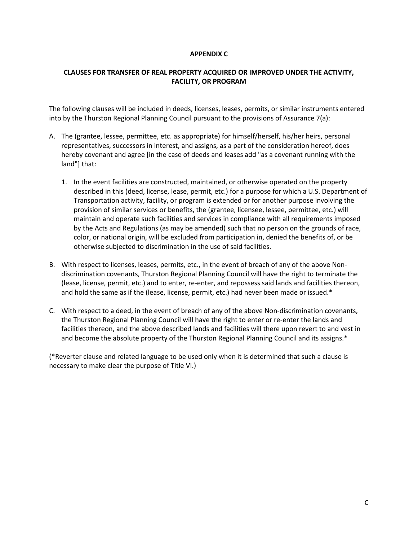### **APPENDIX C**

## **CLAUSES FOR TRANSFER OF REAL PROPERTY ACQUIRED OR IMPROVED UNDER THE ACTIVITY, FACILITY, OR PROGRAM**

The following clauses will be included in deeds, licenses, leases, permits, or similar instruments entered into by the Thurston Regional Planning Council pursuant to the provisions of Assurance 7(a):

- A. The (grantee, lessee, permittee, etc. as appropriate) for himself/herself, his/her heirs, personal representatives, successors in interest, and assigns, as a part of the consideration hereof, does hereby covenant and agree [in the case of deeds and leases add "as a covenant running with the land"] that:
	- 1. In the event facilities are constructed, maintained, or otherwise operated on the property described in this (deed, license, lease, permit, etc.) for a purpose for which a U.S. Department of Transportation activity, facility, or program is extended or for another purpose involving the provision of similar services or benefits, the (grantee, licensee, lessee, permittee, etc.) will maintain and operate such facilities and services in compliance with all requirements imposed by the Acts and Regulations (as may be amended) such that no person on the grounds of race, color, or national origin, will be excluded from participation in, denied the benefits of, or be otherwise subjected to discrimination in the use of said facilities.
- B. With respect to licenses, leases, permits, etc., in the event of breach of any of the above Nondiscrimination covenants, Thurston Regional Planning Council will have the right to terminate the (lease, license, permit, etc.) and to enter, re-enter, and repossess said lands and facilities thereon, and hold the same as if the (lease, license, permit, etc.) had never been made or issued.\*
- C. With respect to a deed, in the event of breach of any of the above Non-discrimination covenants, the Thurston Regional Planning Council will have the right to enter or re-enter the lands and facilities thereon, and the above described lands and facilities will there upon revert to and vest in and become the absolute property of the Thurston Regional Planning Council and its assigns.\*

(\*Reverter clause and related language to be used only when it is determined that such a clause is necessary to make clear the purpose of Title VI.)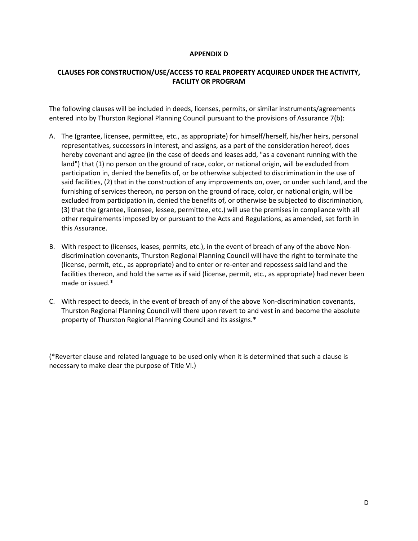### **APPENDIX D**

## **CLAUSES FOR CONSTRUCTION/USE/ACCESS TO REAL PROPERTY ACQUIRED UNDER THE ACTIVITY, FACILITY OR PROGRAM**

The following clauses will be included in deeds, licenses, permits, or similar instruments/agreements entered into by Thurston Regional Planning Council pursuant to the provisions of Assurance 7(b):

- A. The (grantee, licensee, permittee, etc., as appropriate) for himself/herself, his/her heirs, personal representatives, successors in interest, and assigns, as a part of the consideration hereof, does hereby covenant and agree (in the case of deeds and leases add, "as a covenant running with the land") that (1) no person on the ground of race, color, or national origin, will be excluded from participation in, denied the benefits of, or be otherwise subjected to discrimination in the use of said facilities, (2) that in the construction of any improvements on, over, or under such land, and the furnishing of services thereon, no person on the ground of race, color, or national origin, will be excluded from participation in, denied the benefits of, or otherwise be subjected to discrimination, (3) that the (grantee, licensee, lessee, permittee, etc.) will use the premises in compliance with all other requirements imposed by or pursuant to the Acts and Regulations, as amended, set forth in this Assurance.
- B. With respect to (licenses, leases, permits, etc.), in the event of breach of any of the above Nondiscrimination covenants, Thurston Regional Planning Council will have the right to terminate the (license, permit, etc., as appropriate) and to enter or re-enter and repossess said land and the facilities thereon, and hold the same as if said (license, permit, etc., as appropriate) had never been made or issued.\*
- C. With respect to deeds, in the event of breach of any of the above Non-discrimination covenants, Thurston Regional Planning Council will there upon revert to and vest in and become the absolute property of Thurston Regional Planning Council and its assigns.\*

(\*Reverter clause and related language to be used only when it is determined that such a clause is necessary to make clear the purpose of Title VI.)